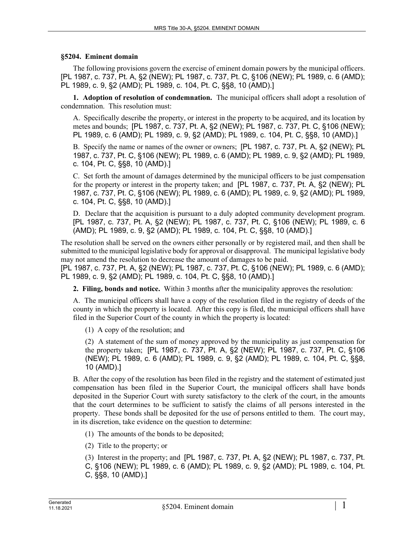## **§5204. Eminent domain**

The following provisions govern the exercise of eminent domain powers by the municipal officers. [PL 1987, c. 737, Pt. A, §2 (NEW); PL 1987, c. 737, Pt. C, §106 (NEW); PL 1989, c. 6 (AMD); PL 1989, c. 9, §2 (AMD); PL 1989, c. 104, Pt. C, §§8, 10 (AMD).]

**1. Adoption of resolution of condemnation.** The municipal officers shall adopt a resolution of condemnation. This resolution must:

A. Specifically describe the property, or interest in the property to be acquired, and its location by metes and bounds; [PL 1987, c. 737, Pt. A, §2 (NEW); PL 1987, c. 737, Pt. C, §106 (NEW); PL 1989, c. 6 (AMD); PL 1989, c. 9, §2 (AMD); PL 1989, c. 104, Pt. C, §§8, 10 (AMD).]

B. Specify the name or names of the owner or owners; [PL 1987, c. 737, Pt. A, §2 (NEW); PL 1987, c. 737, Pt. C, §106 (NEW); PL 1989, c. 6 (AMD); PL 1989, c. 9, §2 (AMD); PL 1989, c. 104, Pt. C, §§8, 10 (AMD).]

C. Set forth the amount of damages determined by the municipal officers to be just compensation for the property or interest in the property taken; and [PL 1987, c. 737, Pt. A, §2 (NEW); PL 1987, c. 737, Pt. C, §106 (NEW); PL 1989, c. 6 (AMD); PL 1989, c. 9, §2 (AMD); PL 1989, c. 104, Pt. C, §§8, 10 (AMD).]

D. Declare that the acquisition is pursuant to a duly adopted community development program. [PL 1987, c. 737, Pt. A, §2 (NEW); PL 1987, c. 737, Pt. C, §106 (NEW); PL 1989, c. 6 (AMD); PL 1989, c. 9, §2 (AMD); PL 1989, c. 104, Pt. C, §§8, 10 (AMD).]

The resolution shall be served on the owners either personally or by registered mail, and then shall be submitted to the municipal legislative body for approval or disapproval. The municipal legislative body may not amend the resolution to decrease the amount of damages to be paid.

[PL 1987, c. 737, Pt. A, §2 (NEW); PL 1987, c. 737, Pt. C, §106 (NEW); PL 1989, c. 6 (AMD); PL 1989, c. 9, §2 (AMD); PL 1989, c. 104, Pt. C, §§8, 10 (AMD).]

**2. Filing, bonds and notice.** Within 3 months after the municipality approves the resolution:

A. The municipal officers shall have a copy of the resolution filed in the registry of deeds of the county in which the property is located. After this copy is filed, the municipal officers shall have filed in the Superior Court of the county in which the property is located:

(1) A copy of the resolution; and

(2) A statement of the sum of money approved by the municipality as just compensation for the property taken; [PL 1987, c. 737, Pt. A, §2 (NEW); PL 1987, c. 737, Pt. C, §106 (NEW); PL 1989, c. 6 (AMD); PL 1989, c. 9, §2 (AMD); PL 1989, c. 104, Pt. C, §§8, 10 (AMD).]

B. After the copy of the resolution has been filed in the registry and the statement of estimated just compensation has been filed in the Superior Court, the municipal officers shall have bonds deposited in the Superior Court with surety satisfactory to the clerk of the court, in the amounts that the court determines to be sufficient to satisfy the claims of all persons interested in the property. These bonds shall be deposited for the use of persons entitled to them. The court may, in its discretion, take evidence on the question to determine:

(1) The amounts of the bonds to be deposited;

(2) Title to the property; or

(3) Interest in the property; and [PL 1987, c. 737, Pt. A, §2 (NEW); PL 1987, c. 737, Pt. C, §106 (NEW); PL 1989, c. 6 (AMD); PL 1989, c. 9, §2 (AMD); PL 1989, c. 104, Pt. C, §§8, 10 (AMD).]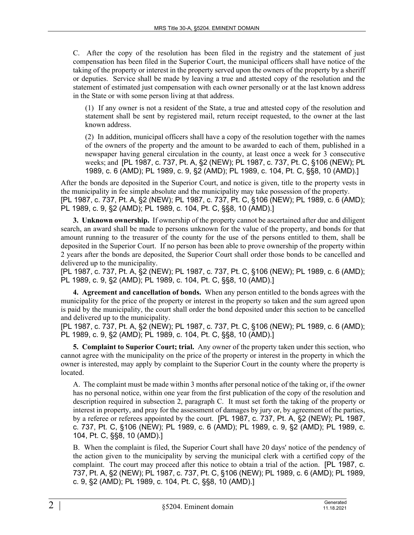C. After the copy of the resolution has been filed in the registry and the statement of just compensation has been filed in the Superior Court, the municipal officers shall have notice of the taking of the property or interest in the property served upon the owners of the property by a sheriff or deputies. Service shall be made by leaving a true and attested copy of the resolution and the statement of estimated just compensation with each owner personally or at the last known address in the State or with some person living at that address.

(1) If any owner is not a resident of the State, a true and attested copy of the resolution and statement shall be sent by registered mail, return receipt requested, to the owner at the last known address.

(2) In addition, municipal officers shall have a copy of the resolution together with the names of the owners of the property and the amount to be awarded to each of them, published in a newspaper having general circulation in the county, at least once a week for 3 consecutive weeks; and [PL 1987, c. 737, Pt. A, §2 (NEW); PL 1987, c. 737, Pt. C, §106 (NEW); PL 1989, c. 6 (AMD); PL 1989, c. 9, §2 (AMD); PL 1989, c. 104, Pt. C, §§8, 10 (AMD).]

After the bonds are deposited in the Superior Court, and notice is given, title to the property vests in the municipality in fee simple absolute and the municipality may take possession of the property. [PL 1987, c. 737, Pt. A, §2 (NEW); PL 1987, c. 737, Pt. C, §106 (NEW); PL 1989, c. 6 (AMD); PL 1989, c. 9, §2 (AMD); PL 1989, c. 104, Pt. C, §§8, 10 (AMD).]

**3. Unknown ownership.** If ownership of the property cannot be ascertained after due and diligent search, an award shall be made to persons unknown for the value of the property, and bonds for that amount running to the treasurer of the county for the use of the persons entitled to them, shall be deposited in the Superior Court. If no person has been able to prove ownership of the property within 2 years after the bonds are deposited, the Superior Court shall order those bonds to be cancelled and delivered up to the municipality.

[PL 1987, c. 737, Pt. A, §2 (NEW); PL 1987, c. 737, Pt. C, §106 (NEW); PL 1989, c. 6 (AMD); PL 1989, c. 9, §2 (AMD); PL 1989, c. 104, Pt. C, §§8, 10 (AMD).]

**4. Agreement and cancellation of bonds.** When any person entitled to the bonds agrees with the municipality for the price of the property or interest in the property so taken and the sum agreed upon is paid by the municipality, the court shall order the bond deposited under this section to be cancelled and delivered up to the municipality.

[PL 1987, c. 737, Pt. A, §2 (NEW); PL 1987, c. 737, Pt. C, §106 (NEW); PL 1989, c. 6 (AMD); PL 1989, c. 9, §2 (AMD); PL 1989, c. 104, Pt. C, §§8, 10 (AMD).]

**5. Complaint to Superior Court; trial.** Any owner of the property taken under this section, who cannot agree with the municipality on the price of the property or interest in the property in which the owner is interested, may apply by complaint to the Superior Court in the county where the property is located.

A. The complaint must be made within 3 months after personal notice of the taking or, if the owner has no personal notice, within one year from the first publication of the copy of the resolution and description required in subsection 2, paragraph C. It must set forth the taking of the property or interest in property, and pray for the assessment of damages by jury or, by agreement of the parties, by a referee or referees appointed by the court. [PL 1987, c. 737, Pt. A, §2 (NEW); PL 1987, c. 737, Pt. C, §106 (NEW); PL 1989, c. 6 (AMD); PL 1989, c. 9, §2 (AMD); PL 1989, c. 104, Pt. C, §§8, 10 (AMD).]

B. When the complaint is filed, the Superior Court shall have 20 days' notice of the pendency of the action given to the municipality by serving the municipal clerk with a certified copy of the complaint. The court may proceed after this notice to obtain a trial of the action. [PL 1987, c. 737, Pt. A, §2 (NEW); PL 1987, c. 737, Pt. C, §106 (NEW); PL 1989, c. 6 (AMD); PL 1989, c. 9, §2 (AMD); PL 1989, c. 104, Pt. C, §§8, 10 (AMD).]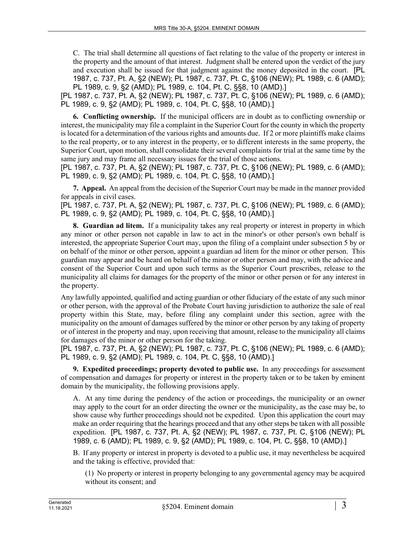C. The trial shall determine all questions of fact relating to the value of the property or interest in the property and the amount of that interest. Judgment shall be entered upon the verdict of the jury and execution shall be issued for that judgment against the money deposited in the court. [PL 1987, c. 737, Pt. A, §2 (NEW); PL 1987, c. 737, Pt. C, §106 (NEW); PL 1989, c. 6 (AMD); PL 1989, c. 9, §2 (AMD); PL 1989, c. 104, Pt. C, §§8, 10 (AMD).]

[PL 1987, c. 737, Pt. A, §2 (NEW); PL 1987, c. 737, Pt. C, §106 (NEW); PL 1989, c. 6 (AMD); PL 1989, c. 9, §2 (AMD); PL 1989, c. 104, Pt. C, §§8, 10 (AMD).]

**6. Conflicting ownership.** If the municipal officers are in doubt as to conflicting ownership or interest, the municipality may file a complaint in the Superior Court for the county in which the property is located for a determination of the various rights and amounts due. If 2 or more plaintiffs make claims to the real property, or to any interest in the property, or to different interests in the same property, the Superior Court, upon motion, shall consolidate their several complaints for trial at the same time by the same jury and may frame all necessary issues for the trial of those actions.

[PL 1987, c. 737, Pt. A, §2 (NEW); PL 1987, c. 737, Pt. C, §106 (NEW); PL 1989, c. 6 (AMD); PL 1989, c. 9, §2 (AMD); PL 1989, c. 104, Pt. C, §§8, 10 (AMD).]

**7. Appeal.** An appeal from the decision of the Superior Court may be made in the manner provided for appeals in civil cases.

[PL 1987, c. 737, Pt. A, §2 (NEW); PL 1987, c. 737, Pt. C, §106 (NEW); PL 1989, c. 6 (AMD); PL 1989, c. 9, §2 (AMD); PL 1989, c. 104, Pt. C, §§8, 10 (AMD).]

**8. Guardian ad litem.** If a municipality takes any real property or interest in property in which any minor or other person not capable in law to act in the minor's or other person's own behalf is interested, the appropriate Superior Court may, upon the filing of a complaint under subsection 5 by or on behalf of the minor or other person, appoint a guardian ad litem for the minor or other person. This guardian may appear and be heard on behalf of the minor or other person and may, with the advice and consent of the Superior Court and upon such terms as the Superior Court prescribes, release to the municipality all claims for damages for the property of the minor or other person or for any interest in the property.

Any lawfully appointed, qualified and acting guardian or other fiduciary of the estate of any such minor or other person, with the approval of the Probate Court having jurisdiction to authorize the sale of real property within this State, may, before filing any complaint under this section, agree with the municipality on the amount of damages suffered by the minor or other person by any taking of property or of interest in the property and may, upon receiving that amount, release to the municipality all claims for damages of the minor or other person for the taking.

[PL 1987, c. 737, Pt. A, §2 (NEW); PL 1987, c. 737, Pt. C, §106 (NEW); PL 1989, c. 6 (AMD); PL 1989, c. 9, §2 (AMD); PL 1989, c. 104, Pt. C, §§8, 10 (AMD).]

**9. Expedited proceedings; property devoted to public use.** In any proceedings for assessment of compensation and damages for property or interest in the property taken or to be taken by eminent domain by the municipality, the following provisions apply.

A. At any time during the pendency of the action or proceedings, the municipality or an owner may apply to the court for an order directing the owner or the municipality, as the case may be, to show cause why further proceedings should not be expedited. Upon this application the court may make an order requiring that the hearings proceed and that any other steps be taken with all possible expedition. [PL 1987, c. 737, Pt. A, §2 (NEW); PL 1987, c. 737, Pt. C, §106 (NEW); PL 1989, c. 6 (AMD); PL 1989, c. 9, §2 (AMD); PL 1989, c. 104, Pt. C, §§8, 10 (AMD).]

B. If any property or interest in property is devoted to a public use, it may nevertheless be acquired and the taking is effective, provided that:

(1) No property or interest in property belonging to any governmental agency may be acquired without its consent; and